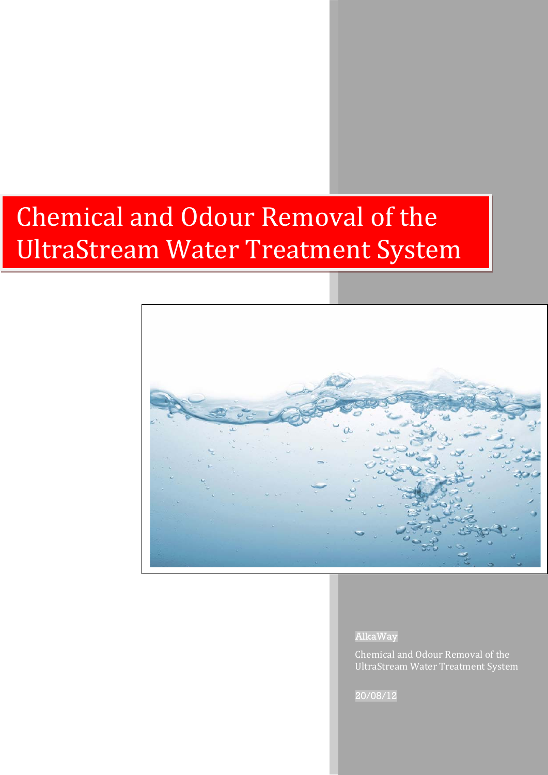# Chemical and Odour Removal of the UltraStream Water Treatment System



AlkaWay

Chemical and Odour Removal of the UltraStream Water Treatment System

20/08/12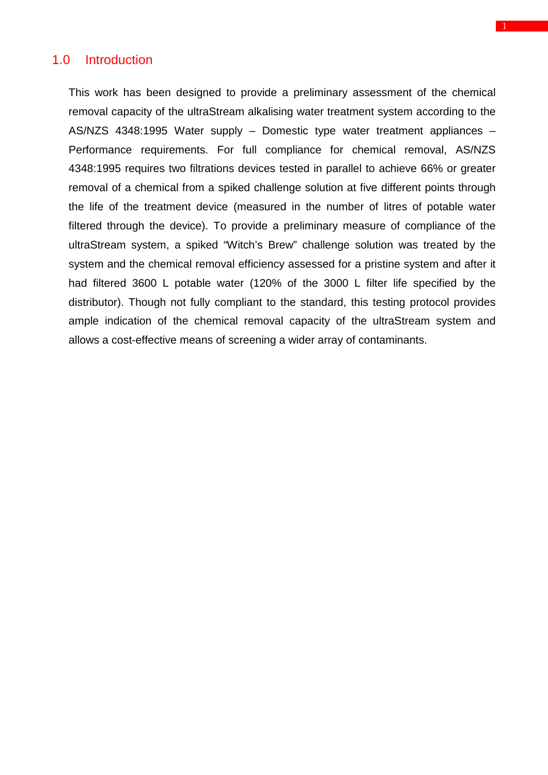# 1.0 Introduction

This work has been designed to provide a preliminary assessment of the chemical removal capacity of the ultraStream alkalising water treatment system according to the AS/NZS 4348:1995 Water supply – Domestic type water treatment appliances – Performance requirements. For full compliance for chemical removal, AS/NZS 4348:1995 requires two filtrations devices tested in parallel to achieve 66% or greater removal of a chemical from a spiked challenge solution at five different points through the life of the treatment device (measured in the number of litres of potable water filtered through the device). To provide a preliminary measure of compliance of the ultraStream system, a spiked "Witch's Brew" challenge solution was treated by the system and the chemical removal efficiency assessed for a pristine system and after it had filtered 3600 L potable water (120% of the 3000 L filter life specified by the distributor). Though not fully compliant to the standard, this testing protocol provides ample indication of the chemical removal capacity of the ultraStream system and allows a cost-effective means of screening a wider array of contaminants.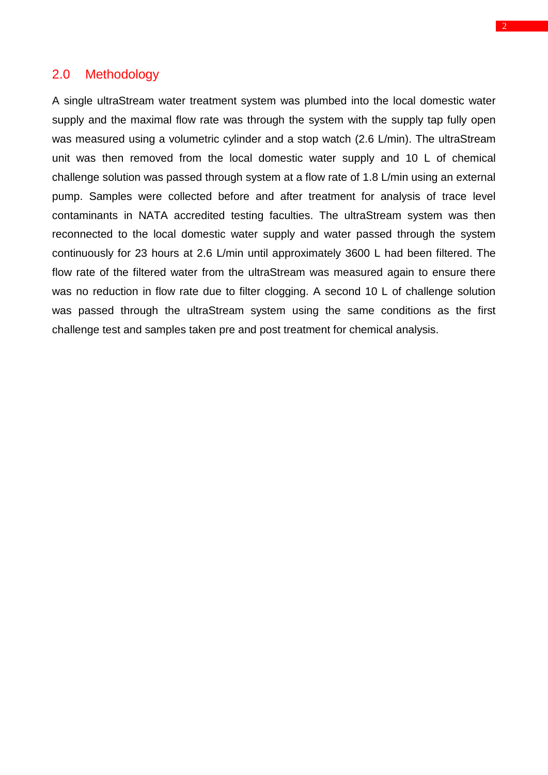### 2.0 Methodology

A single ultraStream water treatment system was plumbed into the local domestic water supply and the maximal flow rate was through the system with the supply tap fully open was measured using a volumetric cylinder and a stop watch (2.6 L/min). The ultraStream unit was then removed from the local domestic water supply and 10 L of chemical challenge solution was passed through system at a flow rate of 1.8 L/min using an external pump. Samples were collected before and after treatment for analysis of trace level contaminants in NATA accredited testing faculties. The ultraStream system was then reconnected to the local domestic water supply and water passed through the system continuously for 23 hours at 2.6 L/min until approximately 3600 L had been filtered. The flow rate of the filtered water from the ultraStream was measured again to ensure there was no reduction in flow rate due to filter clogging. A second 10 L of challenge solution was passed through the ultraStream system using the same conditions as the first challenge test and samples taken pre and post treatment for chemical analysis.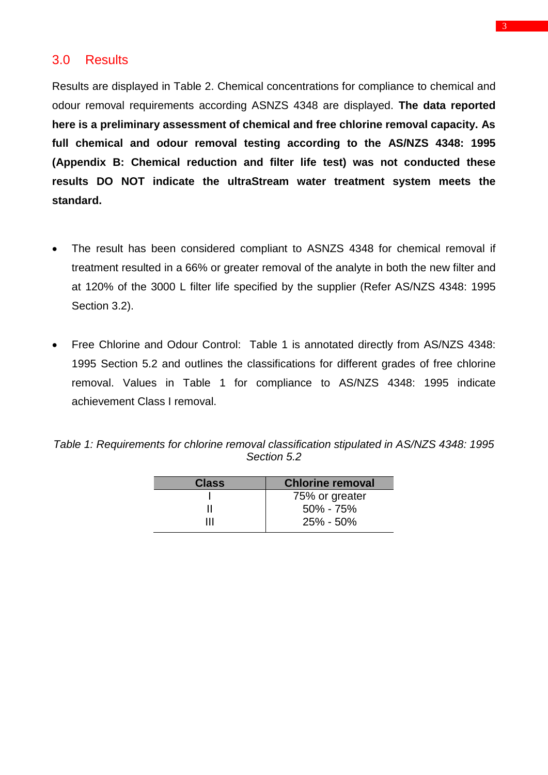# 3.0 Results

Results are displayed in Table 2. Chemical concentrations for compliance to chemical and odour removal requirements according ASNZS 4348 are displayed. **The data reported here is a preliminary assessment of chemical and free chlorine removal capacity. As full chemical and odour removal testing according to the AS/NZS 4348: 1995 (Appendix B: Chemical reduction and filter life test) was not conducted these results DO NOT indicate the ultraStream water treatment system meets the standard.** 

- The result has been considered compliant to ASNZS 4348 for chemical removal if treatment resulted in a 66% or greater removal of the analyte in both the new filter and at 120% of the 3000 L filter life specified by the supplier (Refer AS/NZS 4348: 1995 Section 3.2).
- Free Chlorine and Odour Control: Table 1 is annotated directly from AS/NZS 4348: 1995 Section 5.2 and outlines the classifications for different grades of free chlorine removal. Values in Table 1 for compliance to AS/NZS 4348: 1995 indicate achievement Class I removal.

| Table 1: Requirements for chlorine removal classification stipulated in AS/NZS 4348: 1995 |  |
|-------------------------------------------------------------------------------------------|--|
| Section 5.2                                                                               |  |

| <b>Class</b> | <b>Chlorine removal</b> |  |  |  |  |
|--------------|-------------------------|--|--|--|--|
|              | 75% or greater          |  |  |  |  |
|              | $50\% - 75\%$           |  |  |  |  |
| ш            | $25\% - 50\%$           |  |  |  |  |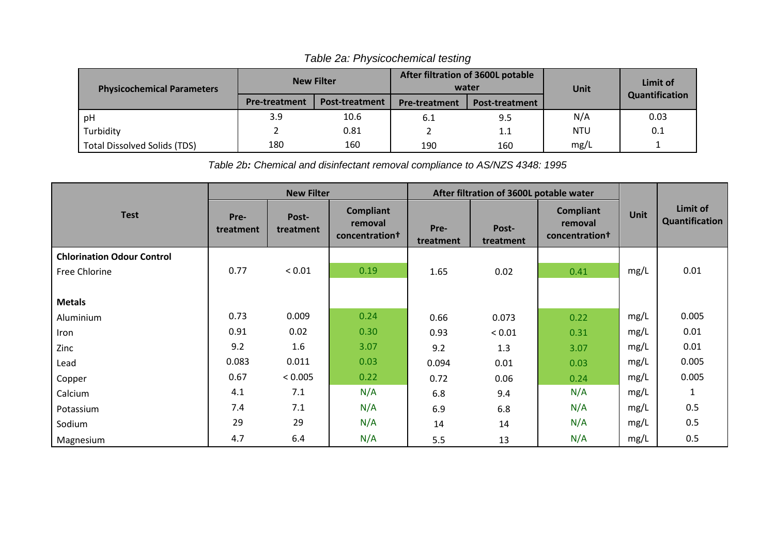| <b>Physicochemical Parameters</b>   | <b>New Filter</b>    |                       | After filtration of 3600L potable<br>water |                       | Unit       | Limit of       |  |
|-------------------------------------|----------------------|-----------------------|--------------------------------------------|-----------------------|------------|----------------|--|
|                                     | <b>Pre-treatment</b> | <b>Post-treatment</b> | <b>Pre-treatment</b>                       | <b>Post-treatment</b> |            | Quantification |  |
| pH                                  | 3.9                  | 10.6                  | 6.1                                        | 9.5                   | N/A        | 0.03           |  |
| Turbidity                           |                      | 0.81                  |                                            | 1.1                   | <b>NTU</b> | 0.1            |  |
| <b>Total Dissolved Solids (TDS)</b> | 180                  | 160                   | 190                                        | 160                   | mg/L       |                |  |

*Table 2a: Physicochemical testing*

*Table 2b: Chemical and disinfectant removal compliance to AS/NZS 4348: 1995*

|                                   | <b>New Filter</b> |                    | After filtration of 3600L potable water       |                   |                    |                                               |             |                            |
|-----------------------------------|-------------------|--------------------|-----------------------------------------------|-------------------|--------------------|-----------------------------------------------|-------------|----------------------------|
| <b>Test</b>                       | Pre-<br>treatment | Post-<br>treatment | <b>Compliant</b><br>removal<br>concentrationt | Pre-<br>treatment | Post-<br>treatment | <b>Compliant</b><br>removal<br>concentration+ | <b>Unit</b> | Limit of<br>Quantification |
| <b>Chlorination Odour Control</b> |                   |                    |                                               |                   |                    |                                               |             |                            |
| Free Chlorine                     | 0.77              | ${}_{< 0.01}$      | 0.19                                          | 1.65              | 0.02               | 0.41                                          | mg/L        | 0.01                       |
|                                   |                   |                    |                                               |                   |                    |                                               |             |                            |
| <b>Metals</b>                     |                   |                    |                                               |                   |                    |                                               |             |                            |
| Aluminium                         | 0.73              | 0.009              | 0.24                                          | 0.66              | 0.073              | 0.22                                          | mg/L        | 0.005                      |
| Iron                              | 0.91              | 0.02               | 0.30                                          | 0.93              | ${}< 0.01$         | 0.31                                          | mg/L        | 0.01                       |
| Zinc                              | 9.2               | 1.6                | 3.07                                          | 9.2               | 1.3                | 3.07                                          | mg/L        | 0.01                       |
| Lead                              | 0.083             | 0.011              | 0.03                                          | 0.094             | 0.01               | 0.03                                          | mg/L        | 0.005                      |
| Copper                            | 0.67              | < 0.005            | 0.22                                          | 0.72              | 0.06               | 0.24                                          | mg/L        | 0.005                      |
| Calcium                           | 4.1               | 7.1                | N/A                                           | 6.8               | 9.4                | N/A                                           | mg/L        | $\mathbf{1}$               |
| Potassium                         | 7.4               | 7.1                | N/A                                           | 6.9               | 6.8                | N/A                                           | mg/L        | 0.5                        |
| Sodium                            | 29                | 29                 | N/A                                           | 14                | 14                 | N/A                                           | mg/L        | 0.5                        |
| Magnesium                         | 4.7               | 6.4                | N/A                                           | 5.5               | 13                 | N/A                                           | mg/L        | 0.5                        |